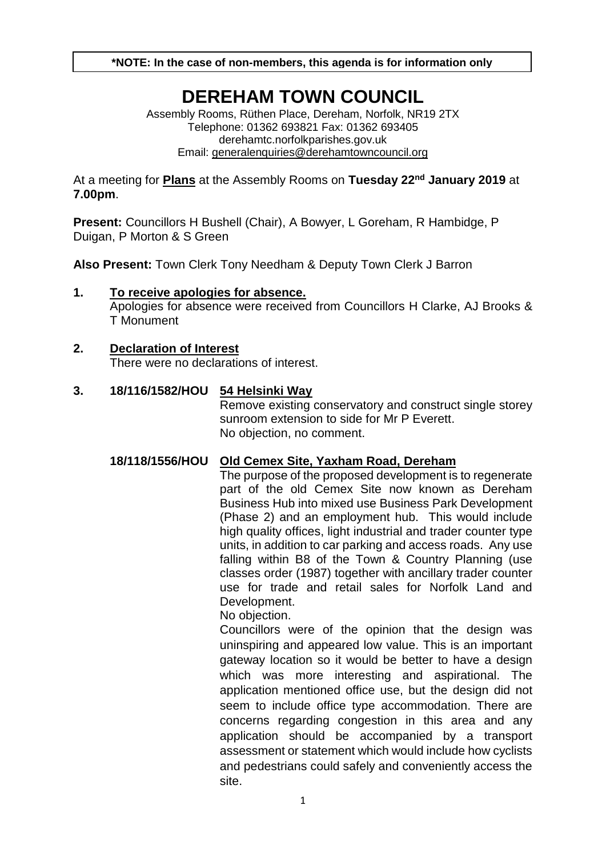**\*NOTE: In the case of non-members, this agenda is for information only**

# **DEREHAM TOWN COUNCIL**

Assembly Rooms, Rüthen Place, Dereham, Norfolk, NR19 2TX Telephone: 01362 693821 Fax: 01362 693405 derehamtc.norfolkparishes.gov.uk Email: [generalenquiries@derehamtowncouncil.org](mailto:generalenquiries@derehamtowncouncil.org)

At a meeting for **Plans** at the Assembly Rooms on **Tuesday 22nd January 2019** at **7.00pm**.

**Present:** Councillors H Bushell (Chair), A Bowyer, L Goreham, R Hambidge, P Duigan, P Morton & S Green

**Also Present:** Town Clerk Tony Needham & Deputy Town Clerk J Barron

#### **1. To receive apologies for absence.**  Apologies for absence were received from Councillors H Clarke, AJ Brooks & T Monument

# **2. Declaration of Interest**

There were no declarations of interest.

### **3. 18/116/1582/HOU 54 Helsinki Way**

Remove existing conservatory and construct single storey sunroom extension to side for Mr P Everett. No objection, no comment.

### **18/118/1556/HOU Old Cemex Site, Yaxham Road, Dereham**

The purpose of the proposed development is to regenerate part of the old Cemex Site now known as Dereham Business Hub into mixed use Business Park Development (Phase 2) and an employment hub. This would include high quality offices, light industrial and trader counter type units, in addition to car parking and access roads. Any use falling within B8 of the Town & Country Planning (use classes order (1987) together with ancillary trader counter use for trade and retail sales for Norfolk Land and Development.

No objection.

Councillors were of the opinion that the design was uninspiring and appeared low value. This is an important gateway location so it would be better to have a design which was more interesting and aspirational. The application mentioned office use, but the design did not seem to include office type accommodation. There are concerns regarding congestion in this area and any application should be accompanied by a transport assessment or statement which would include how cyclists and pedestrians could safely and conveniently access the site.